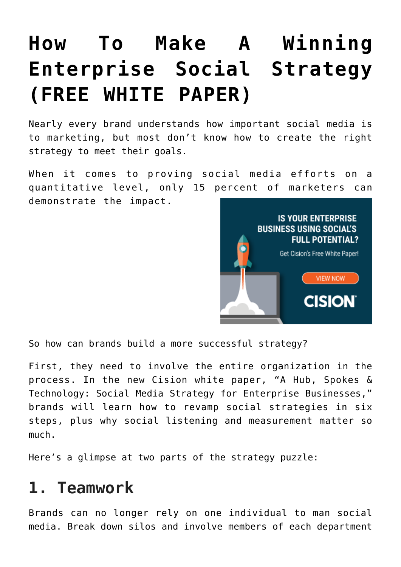## **[How To Make A Winning](https://www.commpro.biz/how-to-make-a-winning-enterprise-social-strategy-free-white-paper/) [Enterprise Social Strategy](https://www.commpro.biz/how-to-make-a-winning-enterprise-social-strategy-free-white-paper/) [\(FREE WHITE PAPER\)](https://www.commpro.biz/how-to-make-a-winning-enterprise-social-strategy-free-white-paper/)**

Nearly every brand understands how important social media is to marketing, but most don't know how to create the right strategy to meet their goals.

When it comes to proving social media efforts on a quantitative level, only [15 percent](https://www.cmosurvey.org/blog/tweet-this-social-media-important-to-company-performance-but-difficult-to-prove/) of marketers can demonstrate the impact.



So how can brands build a more successful strategy?

First, they need to involve the entire organization in the process. In the new Cision white paper, "[A Hub, Spokes &](https://www.cision.com/us/resources/white-papers/enterprise-social-strategy/?utm_medium=paiddisplay&utm_source=commpro&utm_content=whitepaper&utm_campaign=entsocialstrategy) [Technology: Social Media Strategy for Enterprise Businesses](https://www.cision.com/us/resources/white-papers/enterprise-social-strategy/?utm_medium=paiddisplay&utm_source=commpro&utm_content=whitepaper&utm_campaign=entsocialstrategy)," brands will learn how to revamp social strategies in six steps, plus why social listening and measurement matter so much.

Here's a glimpse at two parts of the strategy puzzle:

## **1. Teamwork**

Brands can no longer rely on one individual to man social media. Break down silos and involve members of each department